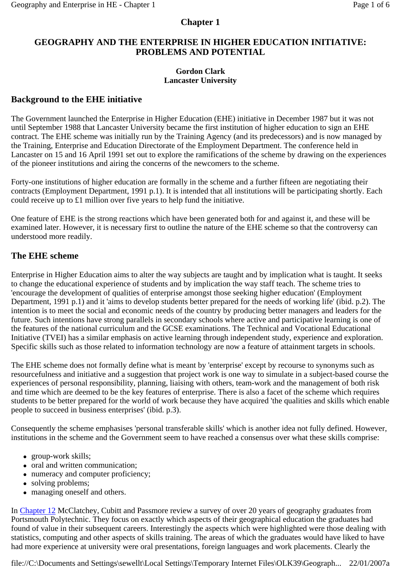### **Chapter 1**

### **GEOGRAPHY AND THE ENTERPRISE IN HIGHER EDUCATION INITIATIVE: PROBLEMS AND POTENTIAL**

#### **Gordon Clark Lancaster University**

### **Background to the EHE initiative**

The Government launched the Enterprise in Higher Education (EHE) initiative in December 1987 but it was not until September 1988 that Lancaster University became the first institution of higher education to sign an EHE contract. The EHE scheme was initially run by the Training Agency (and its predecessors) and is now managed by the Training, Enterprise and Education Directorate of the Employment Department. The conference held in Lancaster on 15 and 16 April 1991 set out to explore the ramifications of the scheme by drawing on the experiences of the pioneer institutions and airing the concerns of the newcomers to the scheme.

Forty-one institutions of higher education are formally in the scheme and a further fifteen are negotiating their contracts (Employment Department, 1991 p.1). It is intended that all institutions will be participating shortly. Each could receive up to £1 million over five years to help fund the initiative.

One feature of EHE is the strong reactions which have been generated both for and against it, and these will be examined later. However, it is necessary first to outline the nature of the EHE scheme so that the controversy can understood more readily.

### **The EHE scheme**

Enterprise in Higher Education aims to alter the way subjects are taught and by implication what is taught. It seeks to change the educational experience of students and by implication the way staff teach. The scheme tries to 'encourage the development of qualities of enterprise amongst those seeking higher education' (Employment Department, 1991 p.1) and it 'aims to develop students better prepared for the needs of working life' (ibid. p.2). The intention is to meet the social and economic needs of the country by producing better managers and leaders for the future. Such intentions have strong parallels in secondary schools where active and participative learning is one of the features of the national curriculum and the GCSE examinations. The Technical and Vocational Educational Initiative (TVEI) has a similar emphasis on active learning through independent study, experience and exploration. Specific skills such as those related to information technology are now a feature of attainment targets in schools.

The EHE scheme does not formally define what is meant by 'enterprise' except by recourse to synonyms such as resourcefulness and initiative and a suggestion that project work is one way to simulate in a subject-based course the experiences of personal responsibility, planning, liaising with others, team-work and the management of both risk and time which are deemed to be the key features of enterprise. There is also a facet of the scheme which requires students to be better prepared for the world of work because they have acquired 'the qualities and skills which enable people to succeed in business enterprises' (ibid. p.3).

Consequently the scheme emphasises 'personal transferable skills' which is another idea not fully defined. However, institutions in the scheme and the Government seem to have reached a consensus over what these skills comprise:

- $\bullet$  group-work skills;
- oral and written communication;
- numeracy and computer proficiency;
- solving problems;
- managing oneself and others.

In Chapter 12 McClatchey, Cubitt and Passmore review a survey of over 20 years of geography graduates from Portsmouth Polytechnic. They focus on exactly which aspects of their geographical education the graduates had found of value in their subsequent careers. Interestingly the aspects which were highlighted were those dealing with statistics, computing and other aspects of skills training. The areas of which the graduates would have liked to have had more experience at university were oral presentations, foreign languages and work placements. Clearly the

file://C:\Documents and Settings\sewellt\Local Settings\Temporary Internet Files\OLK39\Geograph... 22/01/2007a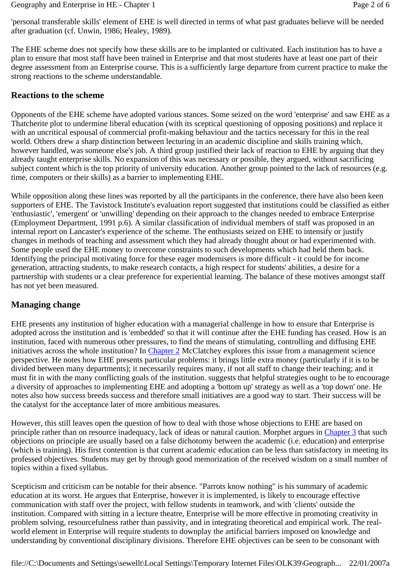'personal transferable skills' element of EHE is well directed in terms of what past graduates believe will be needed after graduation (cf. Unwin, 1986; Healey, 1989).

The EHE scheme does not specify how these skills are to be implanted or cultivated. Each institution has to have a plan to ensure that most staff have been trained in Enterprise and that most students have at least one part of their degree assessment from an Enterprise course. This is a sufficiently large departure from current practice to make the strong reactions to the scheme understandable.

#### **Reactions to the scheme**

Opponents of the EHE scheme have adopted various stances. Some seized on the word 'enterprise' and saw EHE as a Thatcherite plot to undermine liberal education (with its sceptical questioning of opposing positions) and replace it with an uncritical espousal of commercial profit-making behaviour and the tactics necessary for this in the real world. Others drew a sharp distinction between lecturing in an academic discipline and skills training which, however handled, was someone else's job. A third group justified their lack of reaction to EHE by arguing that they already taught enterprise skills. No expansion of this was necessary or possible, they argued, without sacrificing subject content which is the top priority of university education. Another group pointed to the lack of resources (e.g. time, computers or their skills) as a barrier to implementing EHE.

While opposition along these lines was reported by all the participants in the conference, there have also been keen supporters of EHE. The Tavistock Institute's evaluation report suggested that institutions could be classified as either 'enthusiastic', 'emergent' or 'unwilling' depending on their approach to the changes needed to embrace Enterprise (Employment Department, 1991 p.6). A similar classification of individual members of staff was proposed in an internal report on Lancaster's experience of the scheme. The enthusiasts seized on EHE to intensify or justify changes in methods of teaching and assessment which they had already thought about or had experimented with. Some people used the EHE money to overcome constraints to such developments which had held them back. Identifying the principal motivating force for these eager modernisers is more difficult - it could be for income generation, attracting students, to make research contacts, a high respect for students' abilities, a desire for a partnership with students or a clear preference for experiential learning. The balance of these motives amongst staff has not yet been measured.

### **Managing change**

EHE presents any institution of higher education with a managerial challenge in how to ensure that Enterprise is adopted across the institution and is 'embedded' so that it will continue after the EHE funding has ceased. How is an institution, faced with numerous other pressures, to find the means of stimulating, controlling and diffusing EHE initiatives across the whole institution? In Chapter 2 McClatchey explores this issue from a management science perspective. He notes how EHE presents particular problems: it brings little extra money (particularly if it is to be divided between many departments); it necessarily requires many, if not all staff to change their teaching; and it must fit in with the many conflicting goals of the institution. suggests that helpful strategies ought to be to encourage a diversity of approaches to implementing EHE and adopting a 'bottom up' strategy as well as a 'top down' one. He notes also how success breeds success and therefore small initiatives are a good way to start. Their success will be the catalyst for the acceptance later of more ambitious measures.

However, this still leaves open the question of how to deal with those whose objections to EHE are based on principle rather than on resource inadequacy, lack of ideas or natural caution. Morphet argues in Chapter 3 that such objections on principle are usually based on a false dichotomy between the academic (i.e. education) and enterprise (which is training). His first contention is that current academic education can be less than satisfactory in meeting its professed objectives. Students may get by through good memorization of the received wisdom on a small number of topics within a fixed syllabus.

Scepticism and criticism can be notable for their absence. "Parrots know nothing" is his summary of academic education at its worst. He argues that Enterprise, however it is implemented, is likely to encourage effective communication with staff over the project, with fellow students in teamwork, and with 'clients' outside the institution. Compared with sitting in a lecture theatre, Enterprise will be more effective in promoting creativity in problem solving, resourcefulness rather than passivity, and in integrating theoretical and empirical work. The realworld element in Enterprise will require students to downplay the artificial barriers imposed on knowledge and understanding by conventional disciplinary divisions. Therefore EHE objectives can be seen to be consonant with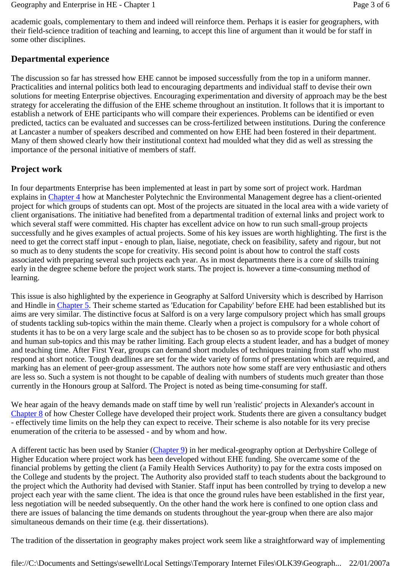academic goals, complementary to them and indeed will reinforce them. Perhaps it is easier for geographers, with their field-science tradition of teaching and learning, to accept this line of argument than it would be for staff in some other disciplines.

# **Departmental experience**

The discussion so far has stressed how EHE cannot be imposed successfully from the top in a uniform manner. Practicalities and internal politics both lead to encouraging departments and individual staff to devise their own solutions for meeting Enterprise objectives. Encouraging experimentation and diversity of approach may be the best strategy for accelerating the diffusion of the EHE scheme throughout an institution. It follows that it is important to establish a network of EHE participants who will compare their experiences. Problems can be identified or even predicted, tactics can be evaluated and successes can be cross-fertilized between institutions. During the conference at Lancaster a number of speakers described and commented on how EHE had been fostered in their department. Many of them showed clearly how their institutional context had moulded what they did as well as stressing the importance of the personal initiative of members of staff.

# **Project work**

In four departments Enterprise has been implemented at least in part by some sort of project work. Hardman explains in Chapter 4 how at Manchester Polytechnic the Environmental Management degree has a client-oriented project for which groups of students can opt. Most of the projects are situated in the local area with a wide variety of client organisations. The initiative had benefited from a departmental tradition of external links and project work to which several staff were committed. His chapter has excellent advice on how to run such small-group projects successfully and he gives examples of actual projects. Some of his key issues are worth highlighting. The first is the need to get the correct staff input - enough to plan, liaise, negotiate, check on feasibility, safety and rigour, but not so much as to deny students the scope for creativity. His second point is about how to control the staff costs associated with preparing several such projects each year. As in most departments there is a core of skills training early in the degree scheme before the project work starts. The project is. however a time-consuming method of learning.

This issue is also highlighted by the experience in Geography at Salford University which is described by Harrison and Hindle in Chapter 5. Their scheme started as 'Education for Capability' before EHE had been established but its aims are very similar. The distinctive focus at Salford is on a very large compulsory project which has small groups of students tackling sub-topics within the main theme. Clearly when a project is compulsory for a whole cohort of students it has to be on a very large scale and the subject has to be chosen so as to provide scope for both physical and human sub-topics and this may be rather limiting. Each group elects a student leader, and has a budget of money and teaching time. After First Year, groups can demand short modules of techniques training from staff who must respond at short notice. Tough deadlines are set for the wide variety of forms of presentation which are required, and marking has an element of peer-group assessment. The authors note how some staff are very enthusiastic and others are less so. Such a system is not thought to be capable of dealing with numbers of students much greater than those currently in the Honours group at Salford. The Project is noted as being time-consuming for staff.

We hear again of the heavy demands made on staff time by well run 'realistic' projects in Alexander's account in Chapter 8 of how Chester College have developed their project work. Students there are given a consultancy budget - effectively time limits on the help they can expect to receive. Their scheme is also notable for its very precise enumeration of the criteria to be assessed - and by whom and how.

A different tactic has been used by Stanier (Chapter 9) in her medical-geography option at Derbyshire College of Higher Education where project work has been developed without EHE funding. She overcame some of the financial problems by getting the client (a Family Health Services Authority) to pay for the extra costs imposed on the College and students by the project. The Authority also provided staff to teach students about the background to the project which the Authority had devised with Stanier. Staff input has been controlled by trying to develop a new project each year with the same client. The idea is that once the ground rules have been established in the first year, less negotiation will be needed subsequently. On the other hand the work here is confined to one option class and there are issues of balancing the time demands on students throughout the year-group when there are also major simultaneous demands on their time (e.g. their dissertations).

The tradition of the dissertation in geography makes project work seem like a straightforward way of implementing

file://C:\Documents and Settings\sewellt\Local Settings\Temporary Internet Files\OLK39\Geograph... 22/01/2007a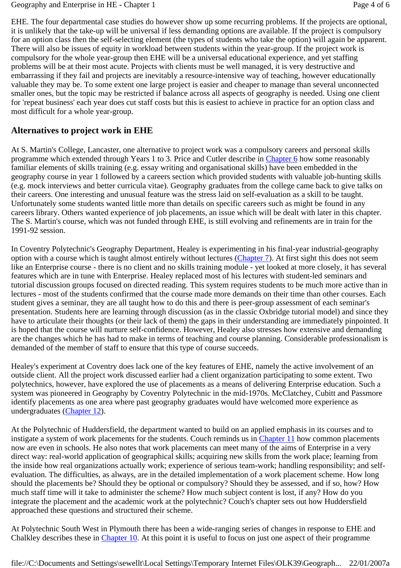EHE. The four departmental case studies do however show up some recurring problems. If the projects are optional, it is unlikely that the take-up will be universal if less demanding options are available. If the project is compulsory for an option class then the self-selecting element (the types of students who take the option) will again be apparent. There will also be issues of equity in workload between students within the year-group. If the project work is compulsory for the whole year-group then EHE will be a universal educational experience, and yet staffing problems will be at their most acute. Projects with clients must be well managed, it is very destructive and embarrassing if they fail and projects are inevitably a resource-intensive way of teaching, however educationally valuable they may be. To some extent one large project is easier and cheaper to manage than several unconnected smaller ones, but the topic may be restricted if balance across all aspects of geography is needed. Using one client for 'repeat business' each year does cut staff costs but this is easiest to achieve in practice for an option class and most difficult for a whole year-group.

# **Alternatives to project work in EHE**

At S. Martin's College, Lancaster, one alternative to project work was a compulsory careers and personal skills programme which extended through Years 1 to 3. Price and Cutler describe in Chapter 6 how some reasonably familiar elements of skills training (e.g. essay writing and organisational skills) have been embedded in the geography course in year 1 followed by a careers section which provided students with valuable job-hunting skills (e.g. mock interviews and better curricula vitae). Geography graduates from the college came back to give talks on their careers. One interesting and unusual feature was the stress laid on self-evaluation as a skill to be taught. Unfortunately some students wanted little more than details on specific careers such as might be found in any careers library. Others wanted experience of job placements, an issue which will be dealt with later in this chapter. The S. Martin's course, which was not funded through EHE, is still evolving and refinements are in train for the 1991-92 session.

In Coventry Polytechnic's Geography Department, Healey is experimenting in his final-year industrial-geography option with a course which is taught almost entirely without lectures (Chapter 7). At first sight this does not seem like an Enterprise course - there is no client and no skills training module - yet looked at more closely, it has several features which are in tune with Enterprise. Healey replaced most of his lectures with student-led seminars and tutorial discussion groups focused on directed reading. This system requires students to be much more active than in lectures - most of the students confirmed that the course made more demands on their time than other courses. Each student gives a seminar, they are all taught how to do this and there is peer-group assessment of each seminar's presentation. Students here are learning through discussion (as in the classic Oxbridge tutorial model) and since they have to articulate their thoughts (or their lack of them) the gaps in their understanding are immediately pinpointed. It is hoped that the course will nurture self-confidence. However, Healey also stresses how extensive and demanding are the changes which he has had to make in terms of teaching and course planning. Considerable professionalism is demanded of the member of staff to ensure that this type of course succeeds.

Healey's experiment at Coventry does lack one of the key features of EHE, namely the active involvement of an outside client. All the project work discussed earlier had a client organization participating to some extent. Two polytechnics, however, have explored the use of placements as a means of delivering Enterprise education. Such a system was pioneered in Geography by Coventry Polytechnic in the mid-1970s. McClatchey, Cubitt and Passmore identify placements as one area where past geography graduates would have welcomed more experience as undergraduates (Chapter 12).

At the Polytechnic of Huddersfield, the department wanted to build on an applied emphasis in its courses and to instigate a system of work placements for the students. Couch reminds us in Chapter 11 how common placements now are even in schools. He also notes that work placements can meet many of the aims of Enterprise in a very direct way: real-world application of geographical skills; acquiring new skills from the work place; learning from the inside how real organizations actually work; experience of serious team-work; handling responsibility; and selfevaluation. The difficulties, as always, are in the detailed implementation of a work placement scheme. How long should the placements be? Should they be optional or compulsory? Should they be assessed, and if so, how? How much staff time will it take to administer the scheme? How much subject content is lost, if any? How do you integrate the placement and the academic work at the polytechnic? Couch's chapter sets out how Huddersfield approached these questions and structured their scheme.

At Polytechnic South West in Plymouth there has been a wide-ranging series of changes in response to EHE and Chalkley describes these in Chapter 10. At this point it is useful to focus on just one aspect of their programme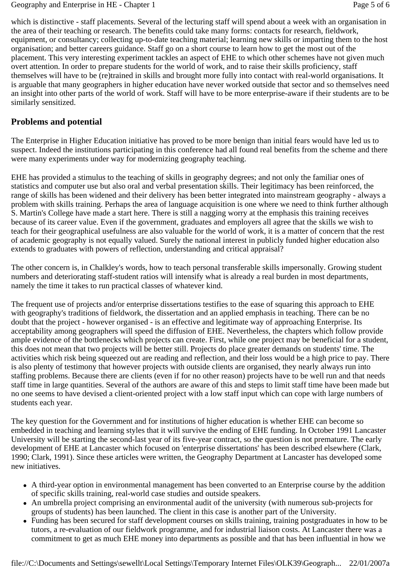which is distinctive - staff placements. Several of the lecturing staff will spend about a week with an organisation in the area of their teaching or research. The benefits could take many forms: contacts for research, fieldwork, equipment, or consultancy; collecting up-to-date teaching material; learning new skills or imparting them to the host organisation; and better careers guidance. Staff go on a short course to learn how to get the most out of the placement. This very interesting experiment tackles an aspect of EHE to which other schemes have not given much overt attention. In order to prepare students for the world of work, and to raise their skills proficiency, staff themselves will have to be (re)trained in skills and brought more fully into contact with real-world organisations. It is arguable that many geographers in higher education have never worked outside that sector and so themselves need an insight into other parts of the world of work. Staff will have to be more enterprise-aware if their students are to be similarly sensitized.

## **Problems and potential**

The Enterprise in Higher Education initiative has proved to be more benign than initial fears would have led us to suspect. Indeed the institutions participating in this conference had all found real benefits from the scheme and there were many experiments under way for modernizing geography teaching.

EHE has provided a stimulus to the teaching of skills in geography degrees; and not only the familiar ones of statistics and computer use but also oral and verbal presentation skills. Their legitimacy has been reinforced, the range of skills has been widened and their delivery has been better integrated into mainstream geography - always a problem with skills training. Perhaps the area of language acquisition is one where we need to think further although S. Martin's College have made a start here. There is still a nagging worry at the emphasis this training receives because of its career value. Even if the government, graduates and employers all agree that the skills we wish to teach for their geographical usefulness are also valuable for the world of work, it is a matter of concern that the rest of academic geography is not equally valued. Surely the national interest in publicly funded higher education also extends to graduates with powers of reflection, understanding and critical appraisal?

The other concern is, in Chalkley's words, how to teach personal transferable skills impersonally. Growing student numbers and deteriorating staff-student ratios will intensify what is already a real burden in most departments, namely the time it takes to run practical classes of whatever kind.

The frequent use of projects and/or enterprise dissertations testifies to the ease of squaring this approach to EHE with geography's traditions of fieldwork, the dissertation and an applied emphasis in teaching. There can be no doubt that the project - however organised - is an effective and legitimate way of approaching Enterprise. Its acceptability among geographers will speed the diffusion of EHE. Nevertheless, the chapters which follow provide ample evidence of the bottlenecks which projects can create. First, while one project may be beneficial for a student, this does not mean that two projects will be better still. Projects do place greater demands on students' time. The activities which risk being squeezed out are reading and reflection, and their loss would be a high price to pay. There is also plenty of testimony that however projects with outside clients are organised, they nearly always run into staffing problems. Because there are clients (even if for no other reason) projects have to be well run and that needs staff time in large quantities. Several of the authors are aware of this and steps to limit staff time have been made but no one seems to have devised a client-oriented project with a low staff input which can cope with large numbers of students each year.

The key question for the Government and for institutions of higher education is whether EHE can become so embedded in teaching and learning styles that it will survive the ending of EHE funding. In October 1991 Lancaster University will be starting the second-last year of its five-year contract, so the question is not premature. The early development of EHE at Lancaster which focused on 'enterprise dissertations' has been described elsewhere (Clark, 1990; Clark, 1991). Since these articles were written, the Geography Department at Lancaster has developed some new initiatives.

- A third-year option in environmental management has been converted to an Enterprise course by the addition of specific skills training, real-world case studies and outside speakers.
- An umbrella project comprising an environmental audit of the university (with numerous sub-projects for groups of students) has been launched. The client in this case is another part of the University.
- Funding has been secured for staff development courses on skills training, training postgraduates in how to be tutors, a re-evaluation of our fieldwork programme, and for industrial liaison costs. At Lancaster there was a commitment to get as much EHE money into departments as possible and that has been influential in how we